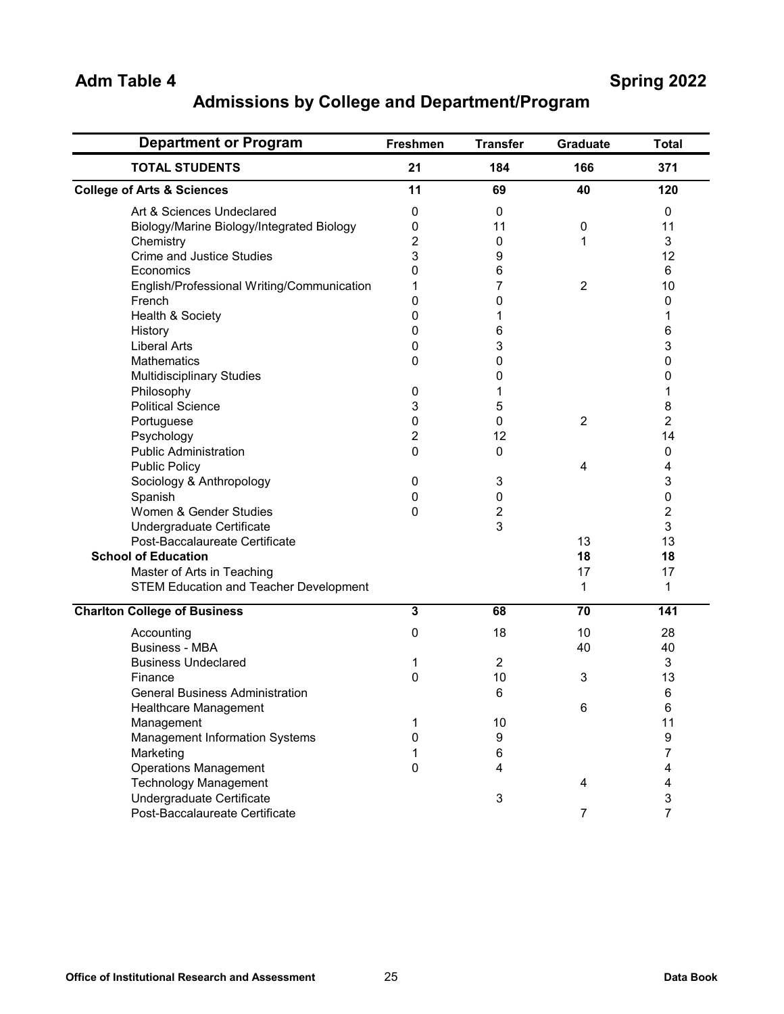## **Admissions by College and Department/Program**

| <b>Department or Program</b>                  | <b>Freshmen</b>         | <b>Transfer</b>         | <b>Graduate</b> | <b>Total</b>            |
|-----------------------------------------------|-------------------------|-------------------------|-----------------|-------------------------|
| <b>TOTAL STUDENTS</b>                         | 21                      | 184                     | 166             | 371                     |
| <b>College of Arts &amp; Sciences</b>         | 11                      | 69                      | 40              | 120                     |
| Art & Sciences Undeclared                     | 0                       | 0                       |                 | 0                       |
| Biology/Marine Biology/Integrated Biology     | 0                       | 11                      | 0               | 11                      |
| Chemistry                                     | 2                       | 0                       | 1               | 3                       |
| <b>Crime and Justice Studies</b>              | 3                       | 9                       |                 | 12                      |
| Economics                                     | $\Omega$                | 6                       |                 | 6                       |
| English/Professional Writing/Communication    | 1                       | 7                       | $\overline{2}$  | 10                      |
| French                                        | 0                       | 0                       |                 | 0                       |
| Health & Society                              | 0                       | 1                       |                 | 1                       |
| History                                       | 0                       | 6                       |                 | 6                       |
| <b>Liberal Arts</b>                           | 0                       | 3                       |                 | 3                       |
| <b>Mathematics</b>                            | 0                       | 0                       |                 | 0                       |
| <b>Multidisciplinary Studies</b>              |                         | 0                       |                 | 0                       |
| Philosophy                                    | 0                       | 1                       |                 | 1                       |
| <b>Political Science</b>                      | 3                       | 5                       |                 | 8                       |
| Portuguese                                    | 0                       | 0                       | $\overline{2}$  | $\overline{c}$          |
| Psychology                                    | $\overline{2}$          | 12                      |                 | 14                      |
| <b>Public Administration</b>                  | 0                       | 0                       |                 | 0                       |
| <b>Public Policy</b>                          |                         |                         | 4               | 4                       |
| Sociology & Anthropology                      | 0                       | 3                       |                 | 3                       |
| Spanish                                       | 0                       | 0                       |                 | 0                       |
| Women & Gender Studies                        | 0                       | $\overline{c}$          |                 | 2                       |
| Undergraduate Certificate                     |                         | 3                       |                 | 3                       |
| Post-Baccalaureate Certificate                |                         |                         | 13              | 13                      |
| <b>School of Education</b>                    |                         |                         | 18              | 18                      |
| Master of Arts in Teaching                    |                         |                         | 17              | 17                      |
| <b>STEM Education and Teacher Development</b> |                         |                         | 1               | 1                       |
|                                               |                         |                         |                 |                         |
| <b>Charlton College of Business</b>           | $\overline{\mathbf{3}}$ | 68                      | $\overline{70}$ | 141                     |
| Accounting                                    | 0                       | 18                      | 10              | 28                      |
| <b>Business - MBA</b>                         |                         |                         | 40              | 40                      |
| <b>Business Undeclared</b>                    | 1                       | $\overline{2}$          |                 | 3                       |
| Finance                                       | 0                       | 10                      | 3               | 13                      |
| <b>General Business Administration</b>        |                         | 6                       |                 | 6                       |
| Healthcare Management                         |                         |                         | 6               | 6                       |
| Management                                    | 1                       | 10                      |                 | 11                      |
| Management Information Systems                | 0                       | $\boldsymbol{9}$        |                 | 9                       |
| Marketing                                     | 1                       | $\,6$                   |                 | $\overline{7}$          |
| <b>Operations Management</b>                  | 0                       | $\overline{\mathbf{4}}$ |                 | $\overline{\mathbf{4}}$ |
| <b>Technology Management</b>                  |                         |                         | 4               | $\overline{\mathbf{4}}$ |
| Undergraduate Certificate                     |                         | 3                       |                 | $\mathbf{3}$            |
| Post-Baccalaureate Certificate                |                         |                         | $\overline{7}$  | $\overline{7}$          |